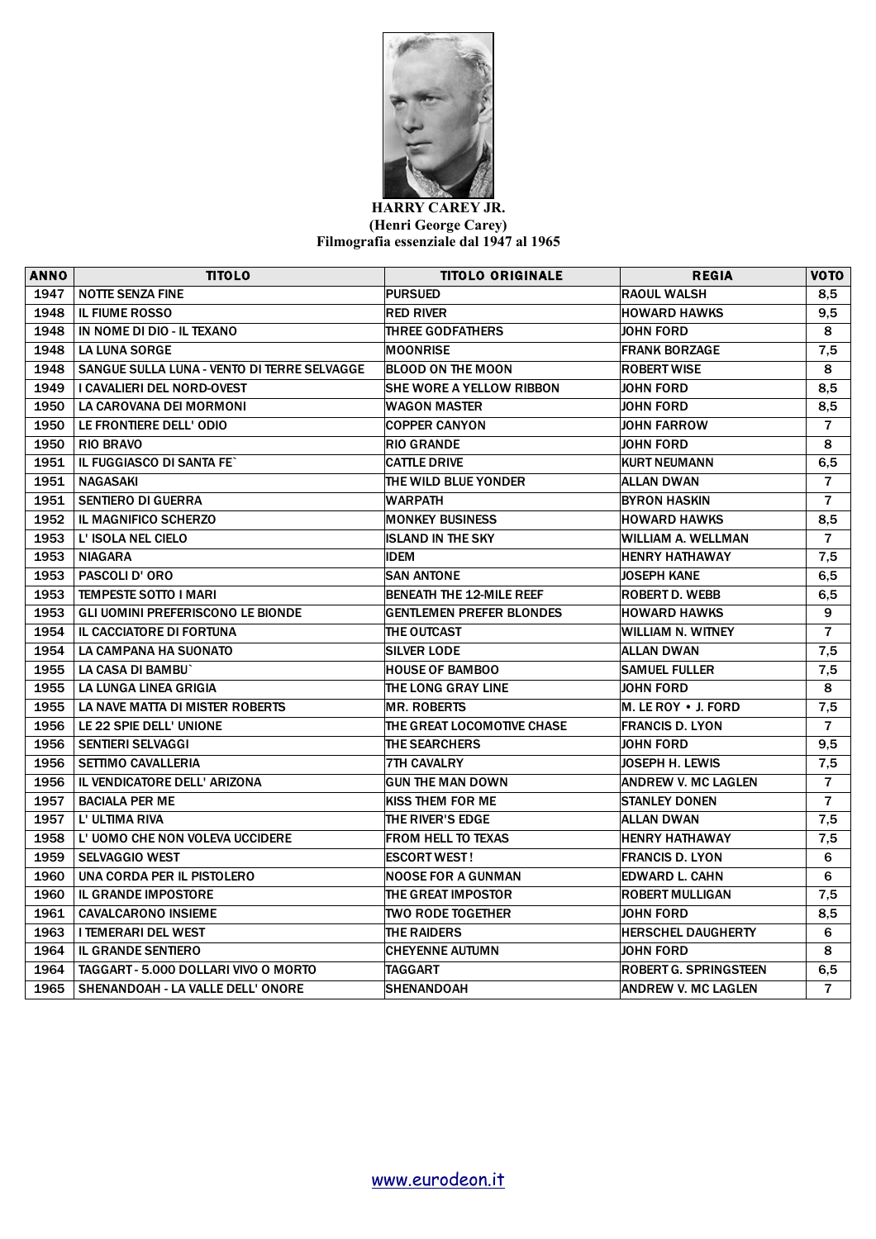

## **HARRY CAREY JR. (Henri George Carey) Filmografia essenziale dal 1947 al 1965**

| <b>ANNO</b> | <b>TITOLO</b>                               | <b>TITOLO ORIGINALE</b>         | <b>REGIA</b>                 | VOTO           |
|-------------|---------------------------------------------|---------------------------------|------------------------------|----------------|
| 1947        | <b>NOTTE SENZA FINE</b>                     | <b>PURSUED</b>                  | <b>RAOUL WALSH</b>           | 8,5            |
| 1948        | <b>IL FIUME ROSSO</b>                       | <b>RED RIVER</b>                | <b>HOWARD HAWKS</b>          | 9,5            |
| 1948        | IN NOME DI DIO - IL TEXANO                  | <b>THREE GODFATHERS</b>         | <b>JOHN FORD</b>             | 8              |
| 1948        | <b>LA LUNA SORGE</b>                        | <b>MOONRISE</b>                 | <b>FRANK BORZAGE</b>         | 7,5            |
| 1948        | SANGUE SULLA LUNA - VENTO DI TERRE SELVAGGE | <b>BLOOD ON THE MOON</b>        | <b>ROBERT WISE</b>           | 8              |
| 1949        | <b>I CAVALIERI DEL NORD-OVEST</b>           | <b>SHE WORE A YELLOW RIBBON</b> | <b>JOHN FORD</b>             | 8,5            |
| 1950        | LA CAROVANA DEI MORMONI                     | <b>WAGON MASTER</b>             | <b>JOHN FORD</b>             | 8,5            |
| 1950        | LE FRONTIERE DELL' ODIO                     | <b>COPPER CANYON</b>            | <b>JOHN FARROW</b>           | 7              |
| 1950        | <b>RIO BRAVO</b>                            | <b>RIO GRANDE</b>               | <b>JOHN FORD</b>             | 8              |
| 1951        | IL FUGGIASCO DI SANTA FE`                   | <b>CATTLE DRIVE</b>             | <b>KURT NEUMANN</b>          | 6,5            |
| 1951        | <b>NAGASAKI</b>                             | THE WILD BLUE YONDER            | <b>ALLAN DWAN</b>            | $\overline{7}$ |
| 1951        | <b>SENTIERO DI GUERRA</b>                   | <b>WARPATH</b>                  | <b>BYRON HASKIN</b>          | $\overline{7}$ |
| 1952        | <b>IL MAGNIFICO SCHERZO</b>                 | <b>MONKEY BUSINESS</b>          | <b>HOWARD HAWKS</b>          | 8,5            |
| 1953        | L' ISOLA NEL CIELO                          | <b>ISLAND IN THE SKY</b>        | WILLIAM A. WELLMAN           | $\overline{7}$ |
| 1953        | <b>NIAGARA</b>                              | <b>IDEM</b>                     | <b>HENRY HATHAWAY</b>        | 7,5            |
| 1953        | <b>PASCOLI D' ORO</b>                       | <b>SAN ANTONE</b>               | <b>JOSEPH KANE</b>           | 6,5            |
| 1953        | <b>TEMPESTE SOTTO I MARI</b>                | <b>BENEATH THE 12-MILE REEF</b> | <b>ROBERT D. WEBB</b>        | 6,5            |
| 1953        | <b>GLI UOMINI PREFERISCONO LE BIONDE</b>    | <b>GENTLEMEN PREFER BLONDES</b> | <b>HOWARD HAWKS</b>          | 9              |
| 1954        | <b>IL CACCIATORE DI FORTUNA</b>             | THE OUTCAST                     | <b>WILLIAM N. WITNEY</b>     | $\overline{7}$ |
| 1954        | LA CAMPANA HA SUONATO                       | <b>SILVER LODE</b>              | <b>ALLAN DWAN</b>            | 7,5            |
| 1955        | LA CASA DI BAMBU`                           | <b>HOUSE OF BAMBOO</b>          | <b>SAMUEL FULLER</b>         | 7,5            |
| 1955        | LA LUNGA LINEA GRIGIA                       | THE LONG GRAY LINE              | <b>JOHN FORD</b>             | 8              |
| 1955        | LA NAVE MATTA DI MISTER ROBERTS             | <b>MR. ROBERTS</b>              | M. LE ROY • J. FORD          | 7,5            |
| 1956        | LE 22 SPIE DELL' UNIONE                     | THE GREAT LOCOMOTIVE CHASE      | <b>FRANCIS D. LYON</b>       | $\overline{7}$ |
| 1956        | <b>SENTIERI SELVAGGI</b>                    | THE SEARCHERS                   | <b>JOHN FORD</b>             | 9,5            |
| 1956        | <b>SETTIMO CAVALLERIA</b>                   | 7TH CAVALRY                     | JOSEPH H. LEWIS              | 7,5            |
| 1956        | IL VENDICATORE DELL' ARIZONA                | <b>GUN THE MAN DOWN</b>         | <b>ANDREW V. MC LAGLEN</b>   | $\overline{7}$ |
| 1957        | <b>BACIALA PER ME</b>                       | <b>KISS THEM FOR ME</b>         | <b>STANLEY DONEN</b>         | $\overline{7}$ |
| 1957        | L'ULTIMA RIVA                               | THE RIVER'S EDGE                | ALLAN DWAN                   | 7,5            |
| 1958        | L' UOMO CHE NON VOLEVA UCCIDERE             | <b>FROM HELL TO TEXAS</b>       | <b>HENRY HATHAWAY</b>        | 7,5            |
| 1959        | <b>SELVAGGIO WEST</b>                       | <b>ESCORT WEST!</b>             | <b>FRANCIS D. LYON</b>       | 6              |
| 1960        | UNA CORDA PER IL PISTOLERO                  | <b>NOOSE FOR A GUNMAN</b>       | <b>EDWARD L. CAHN</b>        | 6              |
| 1960        | <b>IL GRANDE IMPOSTORE</b>                  | THE GREAT IMPOSTOR              | <b>ROBERT MULLIGAN</b>       | 7,5            |
| 1961        | <b>CAVALCARONO INSIEME</b>                  | <b>TWO RODE TOGETHER</b>        | JOHN FORD                    | 8,5            |
| 1963        | I TEMERARI DEL WEST                         | THE RAIDERS                     | <b>HERSCHEL DAUGHERTY</b>    | 6              |
| 1964        | <b>IL GRANDE SENTIERO</b>                   | <b>CHEYENNE AUTUMN</b>          | <b>JOHN FORD</b>             | 8              |
| 1964        | TAGGART - 5.000 DOLLARI VIVO O MORTO        | <b>TAGGART</b>                  | <b>ROBERT G. SPRINGSTEEN</b> | 6,5            |
| 1965        | SHENANDOAH - LA VALLE DELL' ONORE           | <b>SHENANDOAH</b>               | <b>ANDREW V. MC LAGLEN</b>   | $\overline{7}$ |